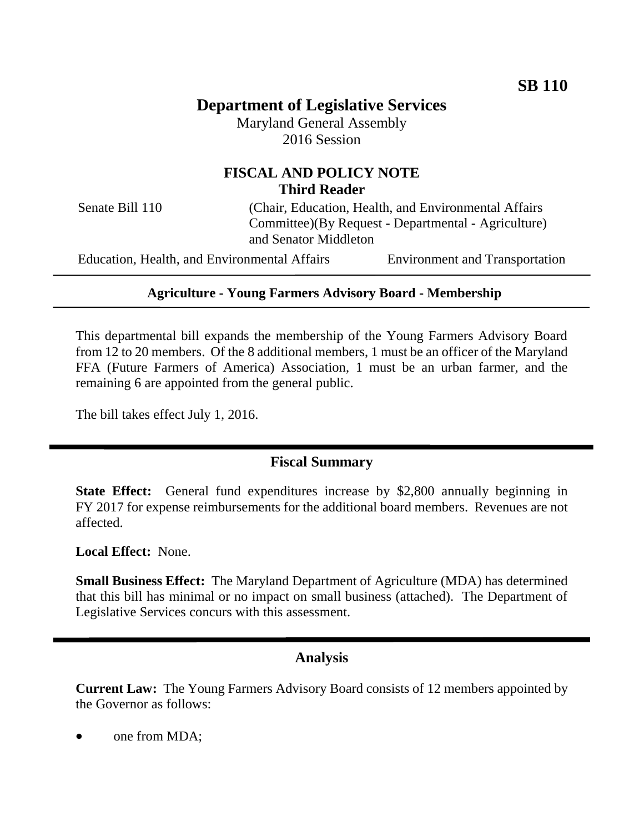# **Department of Legislative Services**

Maryland General Assembly 2016 Session

## **FISCAL AND POLICY NOTE Third Reader**

Senate Bill 110 (Chair, Education, Health, and Environmental Affairs Committee)(By Request - Departmental - Agriculture) and Senator Middleton

Education, Health, and Environmental Affairs Environment and Transportation

#### **Agriculture - Young Farmers Advisory Board - Membership**

This departmental bill expands the membership of the Young Farmers Advisory Board from 12 to 20 members. Of the 8 additional members, 1 must be an officer of the Maryland FFA (Future Farmers of America) Association, 1 must be an urban farmer, and the remaining 6 are appointed from the general public.

The bill takes effect July 1, 2016.

### **Fiscal Summary**

**State Effect:** General fund expenditures increase by \$2,800 annually beginning in FY 2017 for expense reimbursements for the additional board members. Revenues are not affected.

**Local Effect:** None.

**Small Business Effect:** The Maryland Department of Agriculture (MDA) has determined that this bill has minimal or no impact on small business (attached). The Department of Legislative Services concurs with this assessment.

#### **Analysis**

**Current Law:** The Young Farmers Advisory Board consists of 12 members appointed by the Governor as follows:

one from MDA;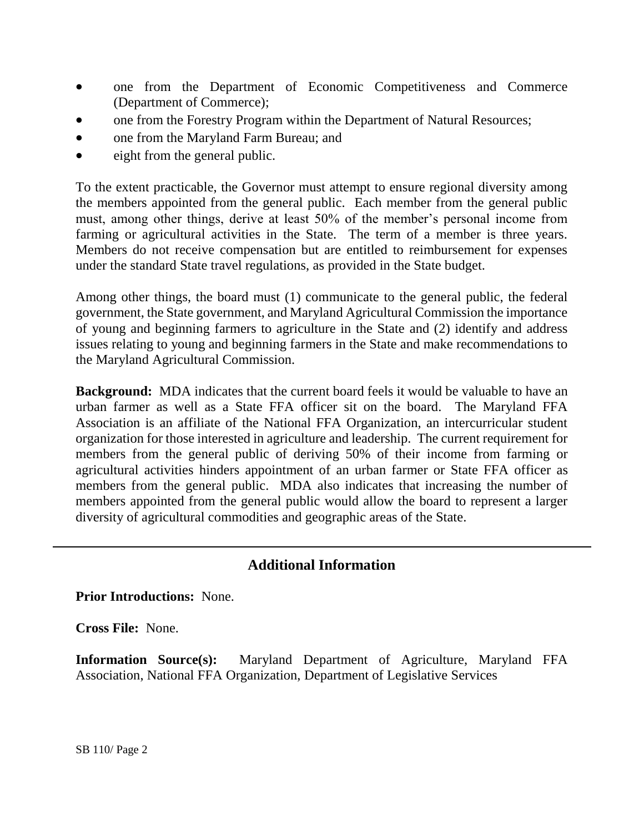- one from the Department of Economic Competitiveness and Commerce (Department of Commerce);
- one from the Forestry Program within the Department of Natural Resources;
- one from the Maryland Farm Bureau; and
- eight from the general public.

To the extent practicable, the Governor must attempt to ensure regional diversity among the members appointed from the general public. Each member from the general public must, among other things, derive at least 50% of the member's personal income from farming or agricultural activities in the State. The term of a member is three years. Members do not receive compensation but are entitled to reimbursement for expenses under the standard State travel regulations, as provided in the State budget.

Among other things, the board must (1) communicate to the general public, the federal government, the State government, and Maryland Agricultural Commission the importance of young and beginning farmers to agriculture in the State and (2) identify and address issues relating to young and beginning farmers in the State and make recommendations to the Maryland Agricultural Commission.

**Background:** MDA indicates that the current board feels it would be valuable to have an urban farmer as well as a State FFA officer sit on the board. The Maryland FFA Association is an affiliate of the National FFA Organization, an intercurricular student organization for those interested in agriculture and leadership. The current requirement for members from the general public of deriving 50% of their income from farming or agricultural activities hinders appointment of an urban farmer or State FFA officer as members from the general public. MDA also indicates that increasing the number of members appointed from the general public would allow the board to represent a larger diversity of agricultural commodities and geographic areas of the State.

## **Additional Information**

**Prior Introductions:** None.

**Cross File:** None.

**Information Source(s):** Maryland Department of Agriculture, Maryland FFA Association, National FFA Organization, Department of Legislative Services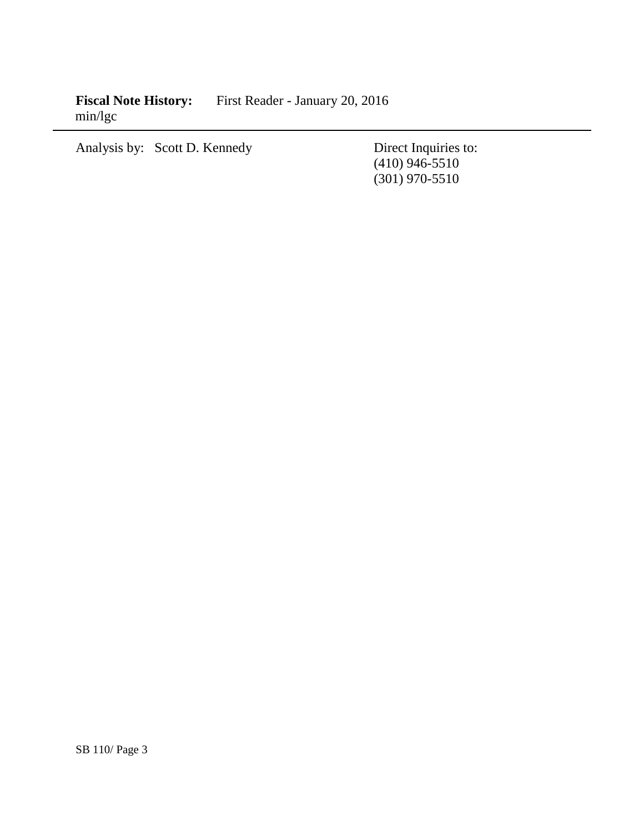**Fiscal Note History:** First Reader - January 20, 2016 min/lgc

Analysis by: Scott D. Kennedy Direct Inquiries to:

(410) 946-5510 (301) 970-5510